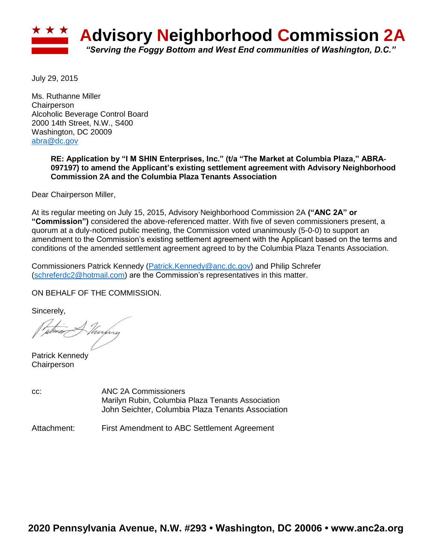

July 29, 2015

Ms. Ruthanne Miller **Chairperson** Alcoholic Beverage Control Board 2000 14th Street, N.W., S400 Washington, DC 20009 [abra@dc.gov](mailto:abra@dc.gov)

# **RE: Application by "I M SHIN Enterprises, Inc." (t/a "The Market at Columbia Plaza," ABRA**‐ **097197) to amend the Applicant's existing settlement agreement with Advisory Neighborhood Commission 2A and the Columbia Plaza Tenants Association**

Dear Chairperson Miller,

At its regular meeting on July 15, 2015, Advisory Neighborhood Commission 2A **("ANC 2A" or "Commission")** considered the above-referenced matter. With five of seven commissioners present, a quorum at a duly-noticed public meeting, the Commission voted unanimously (5-0-0) to support an amendment to the Commission's existing settlement agreement with the Applicant based on the terms and conditions of the amended settlement agreement agreed to by the Columbia Plaza Tenants Association.

Commissioners Patrick Kennedy [\(Patrick.Kennedy@anc.dc.gov\)](mailto:Patrick.Kennedy@anc.dc.gov) and Philip Schrefer [\(schreferdc2@hotmail.com\)](mailto:schreferdc2@hotmail.com) are the Commission's representatives in this matter.

ON BEHALF OF THE COMMISSION.

Sincerely,

Vurhry

Patrick Kennedy **Chairperson** 

cc: ANC 2A Commissioners Marilyn Rubin, Columbia Plaza Tenants Association John Seichter, Columbia Plaza Tenants Association

Attachment: First Amendment to ABC Settlement Agreement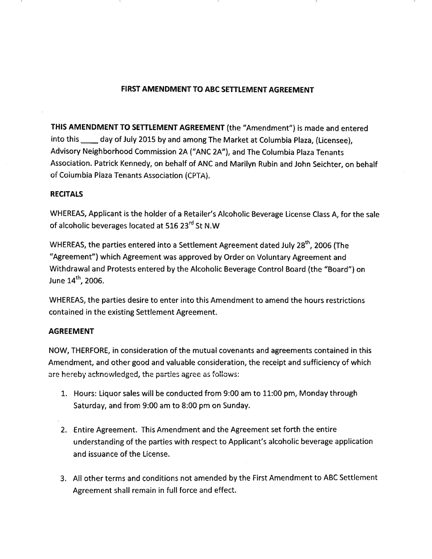# FIRST AMENDMENT TO ABC SETTLEMENT AGREEMENT

THIS AMENDMENT TO SETTLEMENT AGREEMENT (the "Amendment") is made and entered into this \_\_\_\_ day of July 2015 by and among The Market at Columbia Plaza, (Licensee), Advisory Neighborhood Commission 2A ("ANC 2A"), and The Columbia Plaza Tenants Association. Patrick Kennedy, on behalf of ANC and Marilyn Rubin and John Seichter, on behalf of Columbia Plaza Tenants Association (CPTA).

# **RECITALS**

WHEREAS, Applicant is the holder of a Retailer's Alcoholic Beverage License Class A, for the sale of alcoholic beverages located at 516 23<sup>rd</sup> St N.W

WHEREAS, the parties entered into a Settlement Agreement dated July 28<sup>th</sup>, 2006 (The "Agreement") which Agreement was approved by Order on Voluntary Agreement and Withdrawal and Protests entered by the Alcoholic Beverage Control Board (the "Board") on June 14<sup>th</sup>, 2006.

WHEREAS, the parties desire to enter into this Amendment to amend the hours restrictions contained in the existing Settlement Agreement.

#### **AGREEMENT**

NOW, THERFORE, in consideration of the mutual covenants and agreements contained in this Amendment, and other good and valuable consideration, the receipt and sufficiency of which are hereby acknowledged, the parties agree as follows:

- 1. Hours: Liquor sales will be conducted from 9:00 am to 11:00 pm, Monday through Saturday, and from 9:00 am to 8:00 pm on Sunday.
- 2. Entire Agreement. This Amendment and the Agreement set forth the entire understanding of the parties with respect to Applicant's alcoholic beverage application and issuance of the License.
- 3. All other terms and conditions not amended by the First Amendment to ABC Settlement Agreement shall remain in full force and effect.